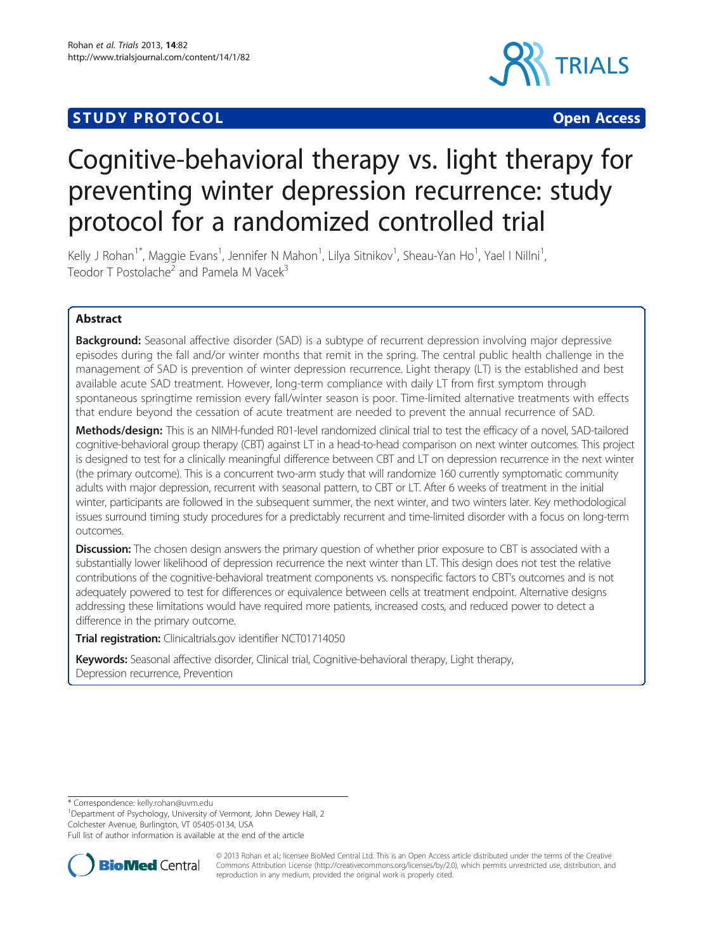# **STUDY PROTOCOL CONSUMING THE CONSUMING OPEN ACCESS**



# Cognitive-behavioral therapy vs. light therapy for preventing winter depression recurrence: study protocol for a randomized controlled trial

Kelly J Rohan<sup>1\*</sup>, Maggie Evans<sup>1</sup>, Jennifer N Mahon<sup>1</sup>, Lilya Sitnikov<sup>1</sup>, Sheau-Yan Ho<sup>1</sup>, Yael I Nillni<sup>1</sup> , Teodor T Postolache<sup>2</sup> and Pamela M Vacek<sup>3</sup>

# Abstract

**Background:** Seasonal affective disorder (SAD) is a subtype of recurrent depression involving major depressive episodes during the fall and/or winter months that remit in the spring. The central public health challenge in the management of SAD is prevention of winter depression recurrence. Light therapy (LT) is the established and best available acute SAD treatment. However, long-term compliance with daily LT from first symptom through spontaneous springtime remission every fall/winter season is poor. Time-limited alternative treatments with effects that endure beyond the cessation of acute treatment are needed to prevent the annual recurrence of SAD.

Methods/design: This is an NIMH-funded R01-level randomized clinical trial to test the efficacy of a novel, SAD-tailored cognitive-behavioral group therapy (CBT) against LT in a head-to-head comparison on next winter outcomes. This project is designed to test for a clinically meaningful difference between CBT and LT on depression recurrence in the next winter (the primary outcome). This is a concurrent two-arm study that will randomize 160 currently symptomatic community adults with major depression, recurrent with seasonal pattern, to CBT or LT. After 6 weeks of treatment in the initial winter, participants are followed in the subsequent summer, the next winter, and two winters later. Key methodological issues surround timing study procedures for a predictably recurrent and time-limited disorder with a focus on long-term outcomes.

**Discussion:** The chosen design answers the primary question of whether prior exposure to CBT is associated with a substantially lower likelihood of depression recurrence the next winter than LT. This design does not test the relative contributions of the cognitive-behavioral treatment components vs. nonspecific factors to CBT's outcomes and is not adequately powered to test for differences or equivalence between cells at treatment endpoint. Alternative designs addressing these limitations would have required more patients, increased costs, and reduced power to detect a difference in the primary outcome.

Trial registration: Clinicaltrials.gov identifier [NCT01714050](http://www.clinicaltrials.gov/NCT01714050)

Keywords: Seasonal affective disorder, Clinical trial, Cognitive-behavioral therapy, Light therapy, Depression recurrence, Prevention

\* Correspondence: [kelly.rohan@uvm.edu](mailto:kelly.rohan@uvm.edu) <sup>1</sup>

<sup>1</sup>Department of Psychology, University of Vermont, John Dewey Hall, 2 Colchester Avenue, Burlington, VT 05405-0134, USA

Full list of author information is available at the end of the article



© 2013 Rohan et al.; licensee BioMed Central Ltd. This is an Open Access article distributed under the terms of the Creative Commons Attribution License [\(http://creativecommons.org/licenses/by/2.0\)](http://creativecommons.org/licenses/by/2.0), which permits unrestricted use, distribution, and reproduction in any medium, provided the original work is properly cited.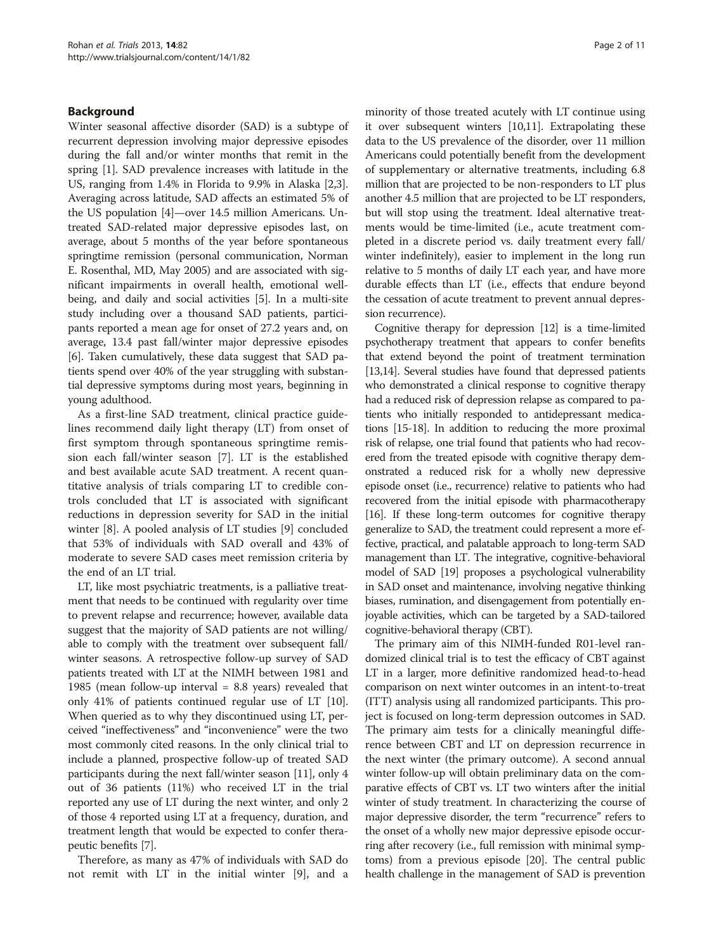#### Background

Winter seasonal affective disorder (SAD) is a subtype of recurrent depression involving major depressive episodes during the fall and/or winter months that remit in the spring [\[1](#page-10-0)]. SAD prevalence increases with latitude in the US, ranging from 1.4% in Florida to 9.9% in Alaska [[2](#page-10-0),[3](#page-10-0)]. Averaging across latitude, SAD affects an estimated 5% of the US population [\[4](#page-10-0)]—over 14.5 million Americans. Untreated SAD-related major depressive episodes last, on average, about 5 months of the year before spontaneous springtime remission (personal communication, Norman E. Rosenthal, MD, May 2005) and are associated with significant impairments in overall health, emotional wellbeing, and daily and social activities [[5\]](#page-10-0). In a multi-site study including over a thousand SAD patients, participants reported a mean age for onset of 27.2 years and, on average, 13.4 past fall/winter major depressive episodes [[6\]](#page-10-0). Taken cumulatively, these data suggest that SAD patients spend over 40% of the year struggling with substantial depressive symptoms during most years, beginning in young adulthood.

As a first-line SAD treatment, clinical practice guidelines recommend daily light therapy (LT) from onset of first symptom through spontaneous springtime remission each fall/winter season [[7\]](#page-10-0). LT is the established and best available acute SAD treatment. A recent quantitative analysis of trials comparing LT to credible controls concluded that LT is associated with significant reductions in depression severity for SAD in the initial winter [\[8](#page-10-0)]. A pooled analysis of LT studies [\[9](#page-10-0)] concluded that 53% of individuals with SAD overall and 43% of moderate to severe SAD cases meet remission criteria by the end of an LT trial.

LT, like most psychiatric treatments, is a palliative treatment that needs to be continued with regularity over time to prevent relapse and recurrence; however, available data suggest that the majority of SAD patients are not willing/ able to comply with the treatment over subsequent fall/ winter seasons. A retrospective follow-up survey of SAD patients treated with LT at the NIMH between 1981 and 1985 (mean follow-up interval = 8.8 years) revealed that only 41% of patients continued regular use of LT [[10](#page-10-0)]. When queried as to why they discontinued using LT, perceived "ineffectiveness" and "inconvenience" were the two most commonly cited reasons. In the only clinical trial to include a planned, prospective follow-up of treated SAD participants during the next fall/winter season [\[11\]](#page-10-0), only 4 out of 36 patients (11%) who received LT in the trial reported any use of LT during the next winter, and only 2 of those 4 reported using LT at a frequency, duration, and treatment length that would be expected to confer therapeutic benefits [[7](#page-10-0)].

Therefore, as many as 47% of individuals with SAD do not remit with LT in the initial winter [[9\]](#page-10-0), and a

minority of those treated acutely with LT continue using it over subsequent winters [\[10,11](#page-10-0)]. Extrapolating these data to the US prevalence of the disorder, over 11 million Americans could potentially benefit from the development of supplementary or alternative treatments, including 6.8 million that are projected to be non-responders to LT plus another 4.5 million that are projected to be LT responders, but will stop using the treatment. Ideal alternative treatments would be time-limited (i.e., acute treatment completed in a discrete period vs. daily treatment every fall/ winter indefinitely), easier to implement in the long run relative to 5 months of daily LT each year, and have more durable effects than LT (i.e., effects that endure beyond the cessation of acute treatment to prevent annual depression recurrence).

Cognitive therapy for depression [[12](#page-10-0)] is a time-limited psychotherapy treatment that appears to confer benefits that extend beyond the point of treatment termination [[13,14\]](#page-10-0). Several studies have found that depressed patients who demonstrated a clinical response to cognitive therapy had a reduced risk of depression relapse as compared to patients who initially responded to antidepressant medications [\[15-18](#page-10-0)]. In addition to reducing the more proximal risk of relapse, one trial found that patients who had recovered from the treated episode with cognitive therapy demonstrated a reduced risk for a wholly new depressive episode onset (i.e., recurrence) relative to patients who had recovered from the initial episode with pharmacotherapy [[16](#page-10-0)]. If these long-term outcomes for cognitive therapy generalize to SAD, the treatment could represent a more effective, practical, and palatable approach to long-term SAD management than LT. The integrative, cognitive-behavioral model of SAD [[19\]](#page-10-0) proposes a psychological vulnerability in SAD onset and maintenance, involving negative thinking biases, rumination, and disengagement from potentially enjoyable activities, which can be targeted by a SAD-tailored cognitive-behavioral therapy (CBT).

The primary aim of this NIMH-funded R01-level randomized clinical trial is to test the efficacy of CBT against LT in a larger, more definitive randomized head-to-head comparison on next winter outcomes in an intent-to-treat (ITT) analysis using all randomized participants. This project is focused on long-term depression outcomes in SAD. The primary aim tests for a clinically meaningful difference between CBT and LT on depression recurrence in the next winter (the primary outcome). A second annual winter follow-up will obtain preliminary data on the comparative effects of CBT vs. LT two winters after the initial winter of study treatment. In characterizing the course of major depressive disorder, the term "recurrence" refers to the onset of a wholly new major depressive episode occurring after recovery (i.e., full remission with minimal symptoms) from a previous episode [[20](#page-10-0)]. The central public health challenge in the management of SAD is prevention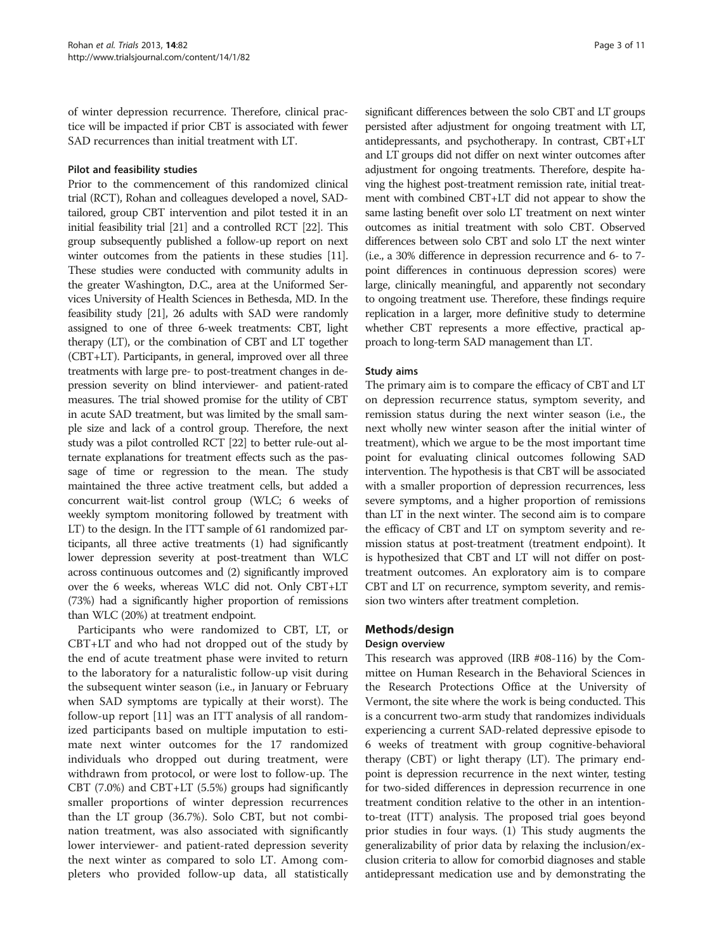of winter depression recurrence. Therefore, clinical practice will be impacted if prior CBT is associated with fewer SAD recurrences than initial treatment with LT.

#### Pilot and feasibility studies

Prior to the commencement of this randomized clinical trial (RCT), Rohan and colleagues developed a novel, SADtailored, group CBT intervention and pilot tested it in an initial feasibility trial [\[21\]](#page-10-0) and a controlled RCT [\[22](#page-10-0)]. This group subsequently published a follow-up report on next winter outcomes from the patients in these studies [\[11](#page-10-0)]. These studies were conducted with community adults in the greater Washington, D.C., area at the Uniformed Services University of Health Sciences in Bethesda, MD. In the feasibility study [[21](#page-10-0)], 26 adults with SAD were randomly assigned to one of three 6-week treatments: CBT, light therapy (LT), or the combination of CBT and LT together (CBT+LT). Participants, in general, improved over all three treatments with large pre- to post-treatment changes in depression severity on blind interviewer- and patient-rated measures. The trial showed promise for the utility of CBT in acute SAD treatment, but was limited by the small sample size and lack of a control group. Therefore, the next study was a pilot controlled RCT [[22](#page-10-0)] to better rule-out alternate explanations for treatment effects such as the passage of time or regression to the mean. The study maintained the three active treatment cells, but added a concurrent wait-list control group (WLC; 6 weeks of weekly symptom monitoring followed by treatment with LT) to the design. In the ITT sample of 61 randomized participants, all three active treatments (1) had significantly lower depression severity at post-treatment than WLC across continuous outcomes and (2) significantly improved over the 6 weeks, whereas WLC did not. Only CBT+LT (73%) had a significantly higher proportion of remissions than WLC (20%) at treatment endpoint.

Participants who were randomized to CBT, LT, or CBT+LT and who had not dropped out of the study by the end of acute treatment phase were invited to return to the laboratory for a naturalistic follow-up visit during the subsequent winter season (i.e., in January or February when SAD symptoms are typically at their worst). The follow-up report [[11](#page-10-0)] was an ITT analysis of all randomized participants based on multiple imputation to estimate next winter outcomes for the 17 randomized individuals who dropped out during treatment, were withdrawn from protocol, or were lost to follow-up. The CBT (7.0%) and CBT+LT (5.5%) groups had significantly smaller proportions of winter depression recurrences than the LT group (36.7%). Solo CBT, but not combination treatment, was also associated with significantly lower interviewer- and patient-rated depression severity the next winter as compared to solo LT. Among completers who provided follow-up data, all statistically

significant differences between the solo CBT and LT groups persisted after adjustment for ongoing treatment with LT, antidepressants, and psychotherapy. In contrast, CBT+LT and LT groups did not differ on next winter outcomes after adjustment for ongoing treatments. Therefore, despite having the highest post-treatment remission rate, initial treatment with combined CBT+LT did not appear to show the same lasting benefit over solo LT treatment on next winter outcomes as initial treatment with solo CBT. Observed differences between solo CBT and solo LT the next winter (i.e., a 30% difference in depression recurrence and 6- to 7 point differences in continuous depression scores) were large, clinically meaningful, and apparently not secondary to ongoing treatment use. Therefore, these findings require replication in a larger, more definitive study to determine whether CBT represents a more effective, practical approach to long-term SAD management than LT.

#### Study aims

The primary aim is to compare the efficacy of CBT and LT on depression recurrence status, symptom severity, and remission status during the next winter season (i.e., the next wholly new winter season after the initial winter of treatment), which we argue to be the most important time point for evaluating clinical outcomes following SAD intervention. The hypothesis is that CBT will be associated with a smaller proportion of depression recurrences, less severe symptoms, and a higher proportion of remissions than LT in the next winter. The second aim is to compare the efficacy of CBT and LT on symptom severity and remission status at post-treatment (treatment endpoint). It is hypothesized that CBT and LT will not differ on posttreatment outcomes. An exploratory aim is to compare CBT and LT on recurrence, symptom severity, and remission two winters after treatment completion.

# Methods/design

#### Design overview

This research was approved (IRB #08-116) by the Committee on Human Research in the Behavioral Sciences in the Research Protections Office at the University of Vermont, the site where the work is being conducted. This is a concurrent two-arm study that randomizes individuals experiencing a current SAD-related depressive episode to 6 weeks of treatment with group cognitive-behavioral therapy (CBT) or light therapy (LT). The primary endpoint is depression recurrence in the next winter, testing for two-sided differences in depression recurrence in one treatment condition relative to the other in an intentionto-treat (ITT) analysis. The proposed trial goes beyond prior studies in four ways. (1) This study augments the generalizability of prior data by relaxing the inclusion/exclusion criteria to allow for comorbid diagnoses and stable antidepressant medication use and by demonstrating the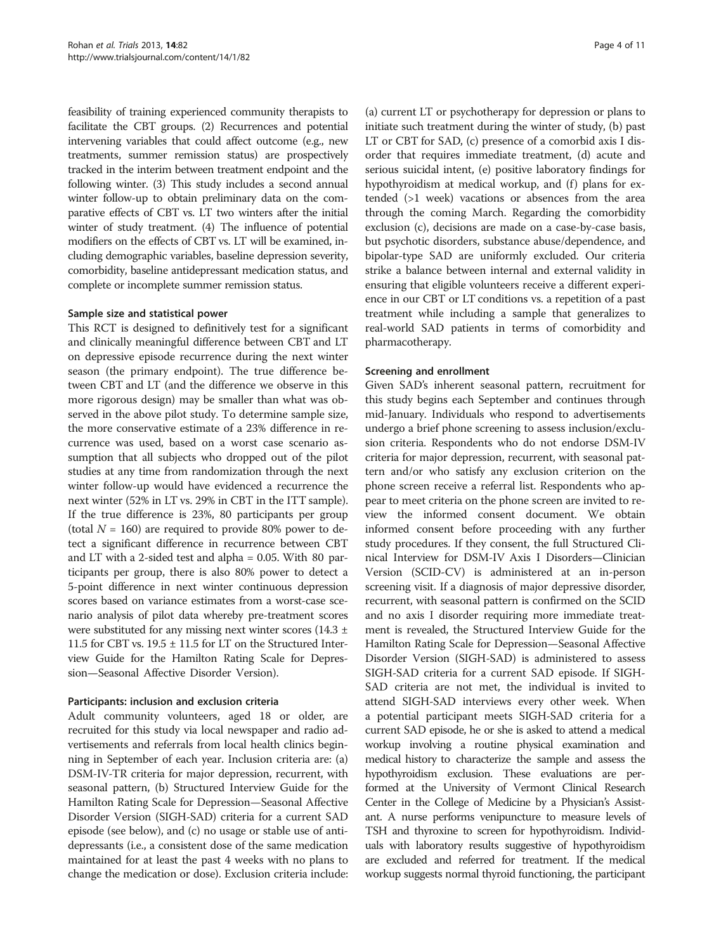feasibility of training experienced community therapists to facilitate the CBT groups. (2) Recurrences and potential intervening variables that could affect outcome (e.g., new treatments, summer remission status) are prospectively tracked in the interim between treatment endpoint and the following winter. (3) This study includes a second annual winter follow-up to obtain preliminary data on the comparative effects of CBT vs. LT two winters after the initial winter of study treatment. (4) The influence of potential modifiers on the effects of CBT vs. LT will be examined, including demographic variables, baseline depression severity, comorbidity, baseline antidepressant medication status, and complete or incomplete summer remission status.

#### Sample size and statistical power

This RCT is designed to definitively test for a significant and clinically meaningful difference between CBT and LT on depressive episode recurrence during the next winter season (the primary endpoint). The true difference between CBT and LT (and the difference we observe in this more rigorous design) may be smaller than what was observed in the above pilot study. To determine sample size, the more conservative estimate of a 23% difference in recurrence was used, based on a worst case scenario assumption that all subjects who dropped out of the pilot studies at any time from randomization through the next winter follow-up would have evidenced a recurrence the next winter (52% in LT vs. 29% in CBT in the ITT sample). If the true difference is 23%, 80 participants per group (total  $N = 160$ ) are required to provide 80% power to detect a significant difference in recurrence between CBT and LT with a 2-sided test and alpha = 0.05. With 80 participants per group, there is also 80% power to detect a 5-point difference in next winter continuous depression scores based on variance estimates from a worst-case scenario analysis of pilot data whereby pre-treatment scores were substituted for any missing next winter scores  $(14.3 \pm 1)$ 11.5 for CBT vs. 19.5 ± 11.5 for LT on the Structured Interview Guide for the Hamilton Rating Scale for Depression—Seasonal Affective Disorder Version).

#### Participants: inclusion and exclusion criteria

Adult community volunteers, aged 18 or older, are recruited for this study via local newspaper and radio advertisements and referrals from local health clinics beginning in September of each year. Inclusion criteria are: (a) DSM-IV-TR criteria for major depression, recurrent, with seasonal pattern, (b) Structured Interview Guide for the Hamilton Rating Scale for Depression—Seasonal Affective Disorder Version (SIGH-SAD) criteria for a current SAD episode (see below), and (c) no usage or stable use of antidepressants (i.e., a consistent dose of the same medication maintained for at least the past 4 weeks with no plans to change the medication or dose). Exclusion criteria include:

(a) current LT or psychotherapy for depression or plans to initiate such treatment during the winter of study, (b) past LT or CBT for SAD, (c) presence of a comorbid axis I disorder that requires immediate treatment, (d) acute and serious suicidal intent, (e) positive laboratory findings for hypothyroidism at medical workup, and (f) plans for extended (>1 week) vacations or absences from the area through the coming March. Regarding the comorbidity exclusion (c), decisions are made on a case-by-case basis, but psychotic disorders, substance abuse/dependence, and bipolar-type SAD are uniformly excluded. Our criteria strike a balance between internal and external validity in ensuring that eligible volunteers receive a different experience in our CBT or LT conditions vs. a repetition of a past treatment while including a sample that generalizes to real-world SAD patients in terms of comorbidity and pharmacotherapy.

#### Screening and enrollment

Given SAD's inherent seasonal pattern, recruitment for this study begins each September and continues through mid-January. Individuals who respond to advertisements undergo a brief phone screening to assess inclusion/exclusion criteria. Respondents who do not endorse DSM-IV criteria for major depression, recurrent, with seasonal pattern and/or who satisfy any exclusion criterion on the phone screen receive a referral list. Respondents who appear to meet criteria on the phone screen are invited to review the informed consent document. We obtain informed consent before proceeding with any further study procedures. If they consent, the full Structured Clinical Interview for DSM-IV Axis I Disorders—Clinician Version (SCID-CV) is administered at an in-person screening visit. If a diagnosis of major depressive disorder, recurrent, with seasonal pattern is confirmed on the SCID and no axis I disorder requiring more immediate treatment is revealed, the Structured Interview Guide for the Hamilton Rating Scale for Depression—Seasonal Affective Disorder Version (SIGH-SAD) is administered to assess SIGH-SAD criteria for a current SAD episode. If SIGH-SAD criteria are not met, the individual is invited to attend SIGH-SAD interviews every other week. When a potential participant meets SIGH-SAD criteria for a current SAD episode, he or she is asked to attend a medical workup involving a routine physical examination and medical history to characterize the sample and assess the hypothyroidism exclusion. These evaluations are performed at the University of Vermont Clinical Research Center in the College of Medicine by a Physician's Assistant. A nurse performs venipuncture to measure levels of TSH and thyroxine to screen for hypothyroidism. Individuals with laboratory results suggestive of hypothyroidism are excluded and referred for treatment. If the medical workup suggests normal thyroid functioning, the participant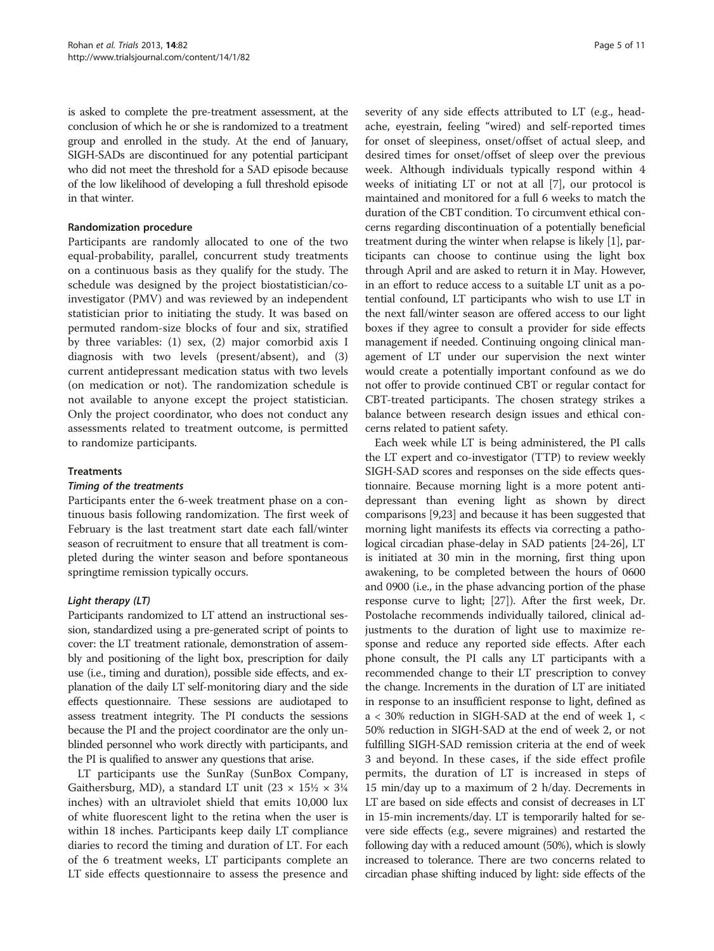is asked to complete the pre-treatment assessment, at the conclusion of which he or she is randomized to a treatment group and enrolled in the study. At the end of January, SIGH-SADs are discontinued for any potential participant who did not meet the threshold for a SAD episode because of the low likelihood of developing a full threshold episode in that winter.

#### Randomization procedure

Participants are randomly allocated to one of the two equal-probability, parallel, concurrent study treatments on a continuous basis as they qualify for the study. The schedule was designed by the project biostatistician/coinvestigator (PMV) and was reviewed by an independent statistician prior to initiating the study. It was based on permuted random-size blocks of four and six, stratified by three variables: (1) sex, (2) major comorbid axis I diagnosis with two levels (present/absent), and (3) current antidepressant medication status with two levels (on medication or not). The randomization schedule is not available to anyone except the project statistician. Only the project coordinator, who does not conduct any assessments related to treatment outcome, is permitted to randomize participants.

#### **Treatments**

#### Timing of the treatments

Participants enter the 6-week treatment phase on a continuous basis following randomization. The first week of February is the last treatment start date each fall/winter season of recruitment to ensure that all treatment is completed during the winter season and before spontaneous springtime remission typically occurs.

#### Light therapy (LT)

Participants randomized to LT attend an instructional session, standardized using a pre-generated script of points to cover: the LT treatment rationale, demonstration of assembly and positioning of the light box, prescription for daily use (i.e., timing and duration), possible side effects, and explanation of the daily LT self-monitoring diary and the side effects questionnaire. These sessions are audiotaped to assess treatment integrity. The PI conducts the sessions because the PI and the project coordinator are the only unblinded personnel who work directly with participants, and the PI is qualified to answer any questions that arise.

LT participants use the SunRay (SunBox Company, Gaithersburg, MD), a standard LT unit  $(23 \times 15\frac{1}{2} \times 3\frac{1}{4})$ inches) with an ultraviolet shield that emits 10,000 lux of white fluorescent light to the retina when the user is within 18 inches. Participants keep daily LT compliance diaries to record the timing and duration of LT. For each of the 6 treatment weeks, LT participants complete an LT side effects questionnaire to assess the presence and severity of any side effects attributed to LT (e.g., headache, eyestrain, feeling "wired) and self-reported times for onset of sleepiness, onset/offset of actual sleep, and desired times for onset/offset of sleep over the previous week. Although individuals typically respond within 4 weeks of initiating LT or not at all [\[7](#page-10-0)], our protocol is maintained and monitored for a full 6 weeks to match the duration of the CBT condition. To circumvent ethical concerns regarding discontinuation of a potentially beneficial treatment during the winter when relapse is likely [\[1](#page-10-0)], participants can choose to continue using the light box through April and are asked to return it in May. However, in an effort to reduce access to a suitable LT unit as a potential confound, LT participants who wish to use LT in the next fall/winter season are offered access to our light boxes if they agree to consult a provider for side effects management if needed. Continuing ongoing clinical management of LT under our supervision the next winter would create a potentially important confound as we do not offer to provide continued CBT or regular contact for CBT-treated participants. The chosen strategy strikes a balance between research design issues and ethical concerns related to patient safety.

Each week while LT is being administered, the PI calls the LT expert and co-investigator (TTP) to review weekly SIGH-SAD scores and responses on the side effects questionnaire. Because morning light is a more potent antidepressant than evening light as shown by direct comparisons [\[9,23\]](#page-10-0) and because it has been suggested that morning light manifests its effects via correcting a pathological circadian phase-delay in SAD patients [\[24-26\]](#page-10-0), LT is initiated at 30 min in the morning, first thing upon awakening, to be completed between the hours of 0600 and 0900 (i.e., in the phase advancing portion of the phase response curve to light; [\[27](#page-10-0)]). After the first week, Dr. Postolache recommends individually tailored, clinical adjustments to the duration of light use to maximize response and reduce any reported side effects. After each phone consult, the PI calls any LT participants with a recommended change to their LT prescription to convey the change. Increments in the duration of LT are initiated in response to an insufficient response to light, defined as a < 30% reduction in SIGH-SAD at the end of week 1, < 50% reduction in SIGH-SAD at the end of week 2, or not fulfilling SIGH-SAD remission criteria at the end of week 3 and beyond. In these cases, if the side effect profile permits, the duration of LT is increased in steps of 15 min/day up to a maximum of 2 h/day. Decrements in LT are based on side effects and consist of decreases in LT in 15-min increments/day. LT is temporarily halted for severe side effects (e.g., severe migraines) and restarted the following day with a reduced amount (50%), which is slowly increased to tolerance. There are two concerns related to circadian phase shifting induced by light: side effects of the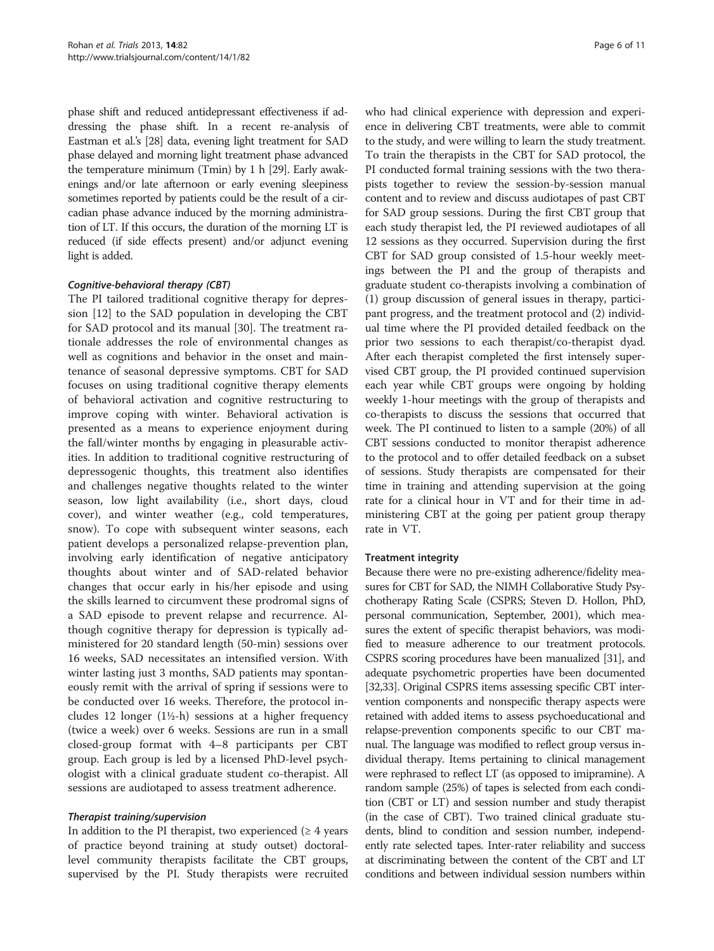phase shift and reduced antidepressant effectiveness if addressing the phase shift. In a recent re-analysis of Eastman et al.'s [\[28](#page-10-0)] data, evening light treatment for SAD phase delayed and morning light treatment phase advanced the temperature minimum (Tmin) by 1 h [\[29\]](#page-10-0). Early awakenings and/or late afternoon or early evening sleepiness sometimes reported by patients could be the result of a circadian phase advance induced by the morning administration of LT. If this occurs, the duration of the morning LT is reduced (if side effects present) and/or adjunct evening light is added.

#### Cognitive-behavioral therapy (CBT)

The PI tailored traditional cognitive therapy for depression [\[12](#page-10-0)] to the SAD population in developing the CBT for SAD protocol and its manual [\[30](#page-10-0)]. The treatment rationale addresses the role of environmental changes as well as cognitions and behavior in the onset and maintenance of seasonal depressive symptoms. CBT for SAD focuses on using traditional cognitive therapy elements of behavioral activation and cognitive restructuring to improve coping with winter. Behavioral activation is presented as a means to experience enjoyment during the fall/winter months by engaging in pleasurable activities. In addition to traditional cognitive restructuring of depressogenic thoughts, this treatment also identifies and challenges negative thoughts related to the winter season, low light availability (i.e., short days, cloud cover), and winter weather (e.g., cold temperatures, snow). To cope with subsequent winter seasons, each patient develops a personalized relapse-prevention plan, involving early identification of negative anticipatory thoughts about winter and of SAD-related behavior changes that occur early in his/her episode and using the skills learned to circumvent these prodromal signs of a SAD episode to prevent relapse and recurrence. Although cognitive therapy for depression is typically administered for 20 standard length (50-min) sessions over 16 weeks, SAD necessitates an intensified version. With winter lasting just 3 months, SAD patients may spontaneously remit with the arrival of spring if sessions were to be conducted over 16 weeks. Therefore, the protocol includes 12 longer  $(1\frac{1}{2} - h)$  sessions at a higher frequency (twice a week) over 6 weeks. Sessions are run in a small closed-group format with 4–8 participants per CBT group. Each group is led by a licensed PhD-level psychologist with a clinical graduate student co-therapist. All sessions are audiotaped to assess treatment adherence.

#### Therapist training/supervision

In addition to the PI therapist, two experienced  $(≥ 4$  years of practice beyond training at study outset) doctorallevel community therapists facilitate the CBT groups, supervised by the PI. Study therapists were recruited

who had clinical experience with depression and experience in delivering CBT treatments, were able to commit to the study, and were willing to learn the study treatment. To train the therapists in the CBT for SAD protocol, the PI conducted formal training sessions with the two therapists together to review the session-by-session manual content and to review and discuss audiotapes of past CBT for SAD group sessions. During the first CBT group that each study therapist led, the PI reviewed audiotapes of all 12 sessions as they occurred. Supervision during the first CBT for SAD group consisted of 1.5-hour weekly meetings between the PI and the group of therapists and graduate student co-therapists involving a combination of (1) group discussion of general issues in therapy, participant progress, and the treatment protocol and (2) individual time where the PI provided detailed feedback on the prior two sessions to each therapist/co-therapist dyad. After each therapist completed the first intensely supervised CBT group, the PI provided continued supervision each year while CBT groups were ongoing by holding weekly 1-hour meetings with the group of therapists and co-therapists to discuss the sessions that occurred that week. The PI continued to listen to a sample (20%) of all CBT sessions conducted to monitor therapist adherence to the protocol and to offer detailed feedback on a subset of sessions. Study therapists are compensated for their time in training and attending supervision at the going rate for a clinical hour in VT and for their time in administering CBT at the going per patient group therapy rate in VT.

#### Treatment integrity

Because there were no pre-existing adherence/fidelity measures for CBT for SAD, the NIMH Collaborative Study Psychotherapy Rating Scale (CSPRS; Steven D. Hollon, PhD, personal communication, September, 2001), which measures the extent of specific therapist behaviors, was modified to measure adherence to our treatment protocols. CSPRS scoring procedures have been manualized [\[31\]](#page-10-0), and adequate psychometric properties have been documented [[32,33\]](#page-10-0). Original CSPRS items assessing specific CBT intervention components and nonspecific therapy aspects were retained with added items to assess psychoeducational and relapse-prevention components specific to our CBT manual. The language was modified to reflect group versus individual therapy. Items pertaining to clinical management were rephrased to reflect LT (as opposed to imipramine). A random sample (25%) of tapes is selected from each condition (CBT or LT) and session number and study therapist (in the case of CBT). Two trained clinical graduate students, blind to condition and session number, independently rate selected tapes. Inter-rater reliability and success at discriminating between the content of the CBT and LT conditions and between individual session numbers within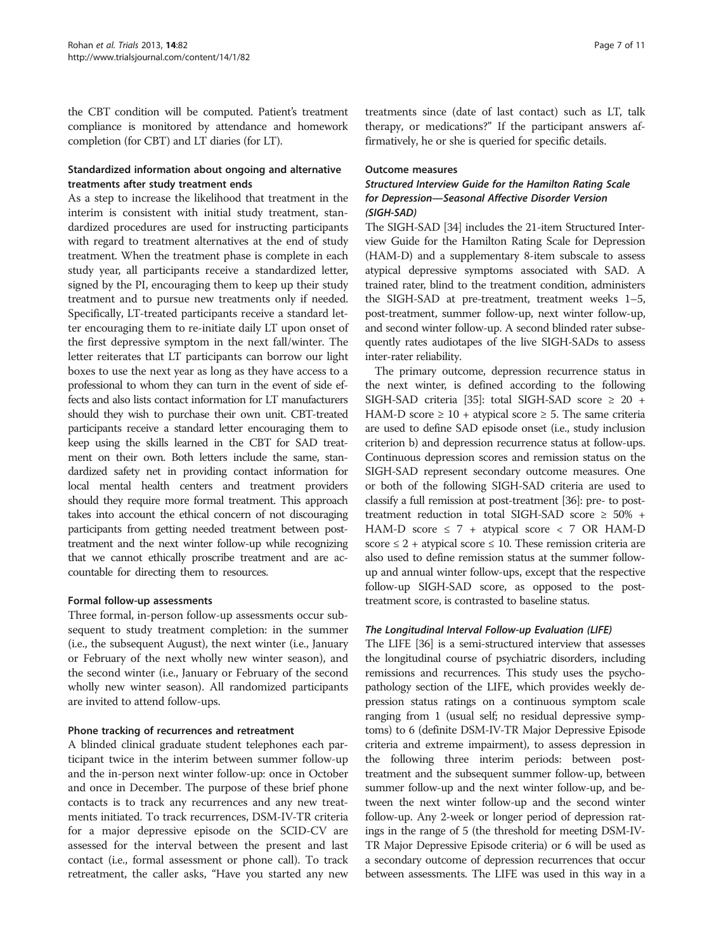the CBT condition will be computed. Patient's treatment compliance is monitored by attendance and homework completion (for CBT) and LT diaries (for LT).

# Standardized information about ongoing and alternative treatments after study treatment ends

As a step to increase the likelihood that treatment in the interim is consistent with initial study treatment, standardized procedures are used for instructing participants with regard to treatment alternatives at the end of study treatment. When the treatment phase is complete in each study year, all participants receive a standardized letter, signed by the PI, encouraging them to keep up their study treatment and to pursue new treatments only if needed. Specifically, LT-treated participants receive a standard letter encouraging them to re-initiate daily LT upon onset of the first depressive symptom in the next fall/winter. The letter reiterates that LT participants can borrow our light boxes to use the next year as long as they have access to a professional to whom they can turn in the event of side effects and also lists contact information for LT manufacturers should they wish to purchase their own unit. CBT-treated participants receive a standard letter encouraging them to keep using the skills learned in the CBT for SAD treatment on their own. Both letters include the same, standardized safety net in providing contact information for local mental health centers and treatment providers should they require more formal treatment. This approach takes into account the ethical concern of not discouraging participants from getting needed treatment between posttreatment and the next winter follow-up while recognizing that we cannot ethically proscribe treatment and are accountable for directing them to resources.

#### Formal follow-up assessments

Three formal, in-person follow-up assessments occur subsequent to study treatment completion: in the summer (i.e., the subsequent August), the next winter (i.e., January or February of the next wholly new winter season), and the second winter (i.e., January or February of the second wholly new winter season). All randomized participants are invited to attend follow-ups.

#### Phone tracking of recurrences and retreatment

A blinded clinical graduate student telephones each participant twice in the interim between summer follow-up and the in-person next winter follow-up: once in October and once in December. The purpose of these brief phone contacts is to track any recurrences and any new treatments initiated. To track recurrences, DSM-IV-TR criteria for a major depressive episode on the SCID-CV are assessed for the interval between the present and last contact (i.e., formal assessment or phone call). To track retreatment, the caller asks, "Have you started any new treatments since (date of last contact) such as LT, talk therapy, or medications?" If the participant answers affirmatively, he or she is queried for specific details.

#### Outcome measures

# Structured Interview Guide for the Hamilton Rating Scale for Depression—Seasonal Affective Disorder Version (SIGH-SAD)

The SIGH-SAD [\[34\]](#page-10-0) includes the 21-item Structured Interview Guide for the Hamilton Rating Scale for Depression (HAM-D) and a supplementary 8-item subscale to assess atypical depressive symptoms associated with SAD. A trained rater, blind to the treatment condition, administers the SIGH-SAD at pre-treatment, treatment weeks 1–5, post-treatment, summer follow-up, next winter follow-up, and second winter follow-up. A second blinded rater subsequently rates audiotapes of the live SIGH-SADs to assess inter-rater reliability.

The primary outcome, depression recurrence status in the next winter, is defined according to the following SIGH-SAD criteria [[35](#page-10-0)]: total SIGH-SAD score ≥ 20 + HAM-D score  $\geq 10 +$  atypical score  $\geq 5$ . The same criteria are used to define SAD episode onset (i.e., study inclusion criterion b) and depression recurrence status at follow-ups. Continuous depression scores and remission status on the SIGH-SAD represent secondary outcome measures. One or both of the following SIGH-SAD criteria are used to classify a full remission at post-treatment [[36](#page-10-0)]: pre- to posttreatment reduction in total SIGH-SAD score ≥ 50% + HAM-D score  $\leq 7$  + atypical score  $\leq 7$  OR HAM-D score  $\leq 2$  + atypical score  $\leq 10$ . These remission criteria are also used to define remission status at the summer followup and annual winter follow-ups, except that the respective follow-up SIGH-SAD score, as opposed to the posttreatment score, is contrasted to baseline status.

#### The Longitudinal Interval Follow-up Evaluation (LIFE)

The LIFE [\[36\]](#page-10-0) is a semi-structured interview that assesses the longitudinal course of psychiatric disorders, including remissions and recurrences. This study uses the psychopathology section of the LIFE, which provides weekly depression status ratings on a continuous symptom scale ranging from 1 (usual self; no residual depressive symptoms) to 6 (definite DSM-IV-TR Major Depressive Episode criteria and extreme impairment), to assess depression in the following three interim periods: between posttreatment and the subsequent summer follow-up, between summer follow-up and the next winter follow-up, and between the next winter follow-up and the second winter follow-up. Any 2-week or longer period of depression ratings in the range of 5 (the threshold for meeting DSM-IV-TR Major Depressive Episode criteria) or 6 will be used as a secondary outcome of depression recurrences that occur between assessments. The LIFE was used in this way in a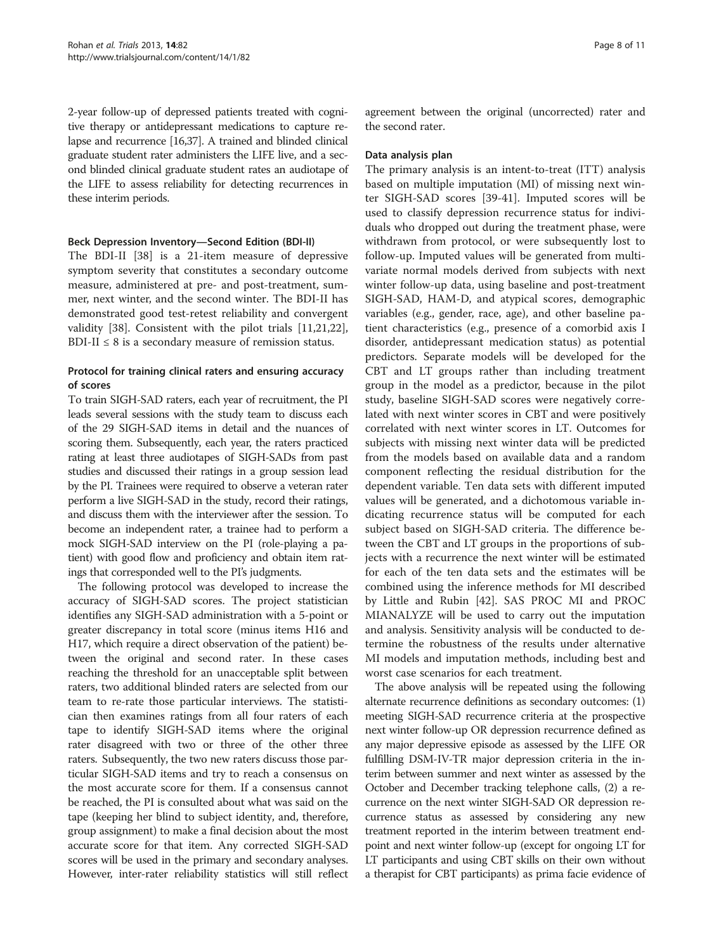2-year follow-up of depressed patients treated with cognitive therapy or antidepressant medications to capture relapse and recurrence [\[16,37](#page-10-0)]. A trained and blinded clinical graduate student rater administers the LIFE live, and a second blinded clinical graduate student rates an audiotape of the LIFE to assess reliability for detecting recurrences in these interim periods.

#### Beck Depression Inventory—Second Edition (BDI-II)

The BDI-II [[38](#page-10-0)] is a 21-item measure of depressive symptom severity that constitutes a secondary outcome measure, administered at pre- and post-treatment, summer, next winter, and the second winter. The BDI-II has demonstrated good test-retest reliability and convergent validity [[38](#page-10-0)]. Consistent with the pilot trials [\[11,21,22](#page-10-0)], BDI-II  $\leq 8$  is a secondary measure of remission status.

# Protocol for training clinical raters and ensuring accuracy of scores

To train SIGH-SAD raters, each year of recruitment, the PI leads several sessions with the study team to discuss each of the 29 SIGH-SAD items in detail and the nuances of scoring them. Subsequently, each year, the raters practiced rating at least three audiotapes of SIGH-SADs from past studies and discussed their ratings in a group session lead by the PI. Trainees were required to observe a veteran rater perform a live SIGH-SAD in the study, record their ratings, and discuss them with the interviewer after the session. To become an independent rater, a trainee had to perform a mock SIGH-SAD interview on the PI (role-playing a patient) with good flow and proficiency and obtain item ratings that corresponded well to the PI's judgments.

The following protocol was developed to increase the accuracy of SIGH-SAD scores. The project statistician identifies any SIGH-SAD administration with a 5-point or greater discrepancy in total score (minus items H16 and H17, which require a direct observation of the patient) between the original and second rater. In these cases reaching the threshold for an unacceptable split between raters, two additional blinded raters are selected from our team to re-rate those particular interviews. The statistician then examines ratings from all four raters of each tape to identify SIGH-SAD items where the original rater disagreed with two or three of the other three raters. Subsequently, the two new raters discuss those particular SIGH-SAD items and try to reach a consensus on the most accurate score for them. If a consensus cannot be reached, the PI is consulted about what was said on the tape (keeping her blind to subject identity, and, therefore, group assignment) to make a final decision about the most accurate score for that item. Any corrected SIGH-SAD scores will be used in the primary and secondary analyses. However, inter-rater reliability statistics will still reflect agreement between the original (uncorrected) rater and the second rater.

#### Data analysis plan

The primary analysis is an intent-to-treat (ITT) analysis based on multiple imputation (MI) of missing next winter SIGH-SAD scores [\[39](#page-10-0)-[41\]](#page-10-0). Imputed scores will be used to classify depression recurrence status for individuals who dropped out during the treatment phase, were withdrawn from protocol, or were subsequently lost to follow-up. Imputed values will be generated from multivariate normal models derived from subjects with next winter follow-up data, using baseline and post-treatment SIGH-SAD, HAM-D, and atypical scores, demographic variables (e.g., gender, race, age), and other baseline patient characteristics (e.g., presence of a comorbid axis I disorder, antidepressant medication status) as potential predictors. Separate models will be developed for the CBT and LT groups rather than including treatment group in the model as a predictor, because in the pilot study, baseline SIGH-SAD scores were negatively correlated with next winter scores in CBT and were positively correlated with next winter scores in LT. Outcomes for subjects with missing next winter data will be predicted from the models based on available data and a random component reflecting the residual distribution for the dependent variable. Ten data sets with different imputed values will be generated, and a dichotomous variable indicating recurrence status will be computed for each subject based on SIGH-SAD criteria. The difference between the CBT and LT groups in the proportions of subjects with a recurrence the next winter will be estimated for each of the ten data sets and the estimates will be combined using the inference methods for MI described by Little and Rubin [\[42\]](#page-10-0). SAS PROC MI and PROC MIANALYZE will be used to carry out the imputation and analysis. Sensitivity analysis will be conducted to determine the robustness of the results under alternative MI models and imputation methods, including best and worst case scenarios for each treatment.

The above analysis will be repeated using the following alternate recurrence definitions as secondary outcomes: (1) meeting SIGH-SAD recurrence criteria at the prospective next winter follow-up OR depression recurrence defined as any major depressive episode as assessed by the LIFE OR fulfilling DSM-IV-TR major depression criteria in the interim between summer and next winter as assessed by the October and December tracking telephone calls, (2) a recurrence on the next winter SIGH-SAD OR depression recurrence status as assessed by considering any new treatment reported in the interim between treatment endpoint and next winter follow-up (except for ongoing LT for LT participants and using CBT skills on their own without a therapist for CBT participants) as prima facie evidence of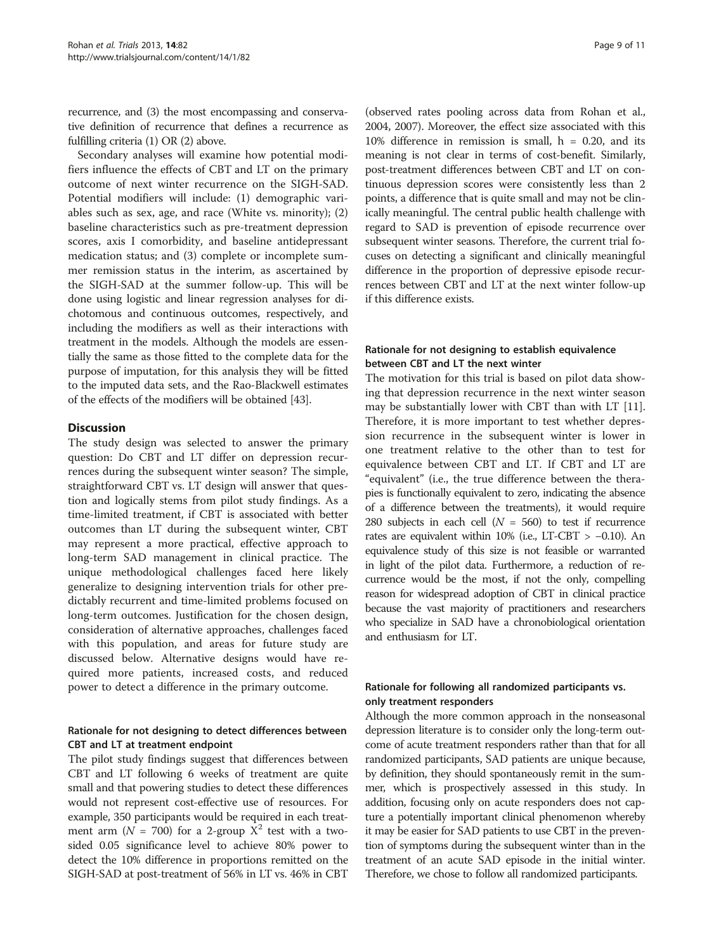recurrence, and (3) the most encompassing and conservative definition of recurrence that defines a recurrence as fulfilling criteria (1) OR (2) above.

Secondary analyses will examine how potential modifiers influence the effects of CBT and LT on the primary outcome of next winter recurrence on the SIGH-SAD. Potential modifiers will include: (1) demographic variables such as sex, age, and race (White vs. minority); (2) baseline characteristics such as pre-treatment depression scores, axis I comorbidity, and baseline antidepressant medication status; and (3) complete or incomplete summer remission status in the interim, as ascertained by the SIGH-SAD at the summer follow-up. This will be done using logistic and linear regression analyses for dichotomous and continuous outcomes, respectively, and including the modifiers as well as their interactions with treatment in the models. Although the models are essentially the same as those fitted to the complete data for the purpose of imputation, for this analysis they will be fitted to the imputed data sets, and the Rao-Blackwell estimates of the effects of the modifiers will be obtained [\[43\]](#page-10-0).

#### **Discussion**

The study design was selected to answer the primary question: Do CBT and LT differ on depression recurrences during the subsequent winter season? The simple, straightforward CBT vs. LT design will answer that question and logically stems from pilot study findings. As a time-limited treatment, if CBT is associated with better outcomes than LT during the subsequent winter, CBT may represent a more practical, effective approach to long-term SAD management in clinical practice. The unique methodological challenges faced here likely generalize to designing intervention trials for other predictably recurrent and time-limited problems focused on long-term outcomes. Justification for the chosen design, consideration of alternative approaches, challenges faced with this population, and areas for future study are discussed below. Alternative designs would have required more patients, increased costs, and reduced power to detect a difference in the primary outcome.

#### Rationale for not designing to detect differences between CBT and LT at treatment endpoint

The pilot study findings suggest that differences between CBT and LT following 6 weeks of treatment are quite small and that powering studies to detect these differences would not represent cost-effective use of resources. For example, 350 participants would be required in each treatment arm ( $N = 700$ ) for a 2-group  $X^2$  test with a twosided 0.05 significance level to achieve 80% power to detect the 10% difference in proportions remitted on the SIGH-SAD at post-treatment of 56% in LT vs. 46% in CBT (observed rates pooling across data from Rohan et al., 2004, 2007). Moreover, the effect size associated with this 10% difference in remission is small,  $h = 0.20$ , and its meaning is not clear in terms of cost-benefit. Similarly, post-treatment differences between CBT and LT on continuous depression scores were consistently less than 2 points, a difference that is quite small and may not be clinically meaningful. The central public health challenge with regard to SAD is prevention of episode recurrence over subsequent winter seasons. Therefore, the current trial focuses on detecting a significant and clinically meaningful difference in the proportion of depressive episode recurrences between CBT and LT at the next winter follow-up if this difference exists.

### Rationale for not designing to establish equivalence between CBT and LT the next winter

The motivation for this trial is based on pilot data showing that depression recurrence in the next winter season may be substantially lower with CBT than with LT [\[11](#page-10-0)]. Therefore, it is more important to test whether depression recurrence in the subsequent winter is lower in one treatment relative to the other than to test for equivalence between CBT and LT. If CBT and LT are "equivalent" (i.e., the true difference between the therapies is functionally equivalent to zero, indicating the absence of a difference between the treatments), it would require 280 subjects in each cell  $(N = 560)$  to test if recurrence rates are equivalent within 10% (i.e., LT-CBT > −0.10). An equivalence study of this size is not feasible or warranted in light of the pilot data. Furthermore, a reduction of recurrence would be the most, if not the only, compelling reason for widespread adoption of CBT in clinical practice because the vast majority of practitioners and researchers who specialize in SAD have a chronobiological orientation and enthusiasm for LT.

### Rationale for following all randomized participants vs. only treatment responders

Although the more common approach in the nonseasonal depression literature is to consider only the long-term outcome of acute treatment responders rather than that for all randomized participants, SAD patients are unique because, by definition, they should spontaneously remit in the summer, which is prospectively assessed in this study. In addition, focusing only on acute responders does not capture a potentially important clinical phenomenon whereby it may be easier for SAD patients to use CBT in the prevention of symptoms during the subsequent winter than in the treatment of an acute SAD episode in the initial winter. Therefore, we chose to follow all randomized participants.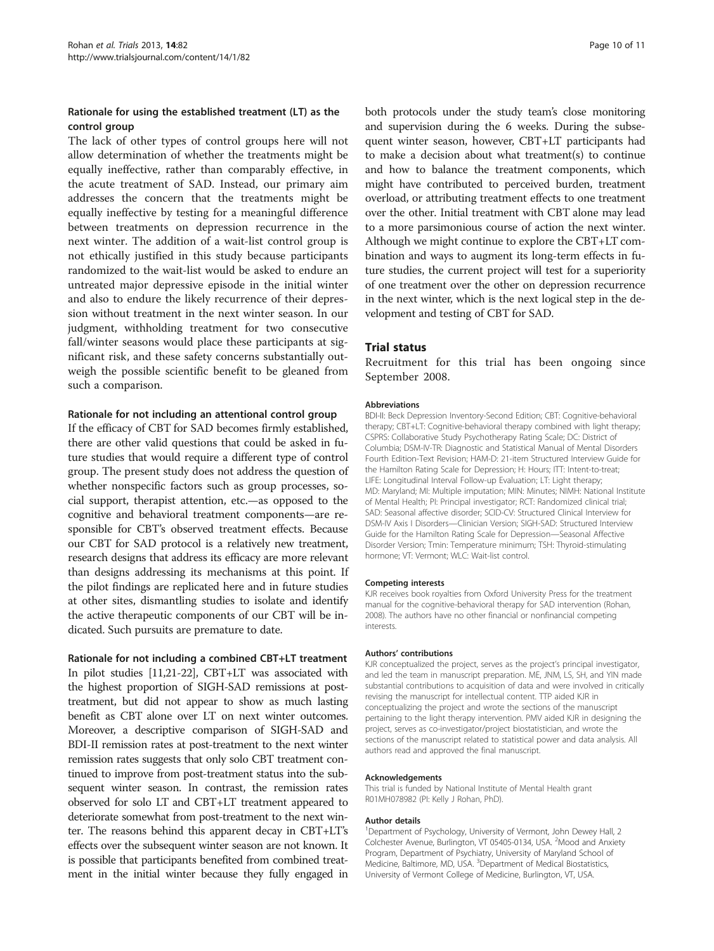### Rationale for using the established treatment (LT) as the control group

The lack of other types of control groups here will not allow determination of whether the treatments might be equally ineffective, rather than comparably effective, in the acute treatment of SAD. Instead, our primary aim addresses the concern that the treatments might be equally ineffective by testing for a meaningful difference between treatments on depression recurrence in the next winter. The addition of a wait-list control group is not ethically justified in this study because participants randomized to the wait-list would be asked to endure an untreated major depressive episode in the initial winter and also to endure the likely recurrence of their depression without treatment in the next winter season. In our judgment, withholding treatment for two consecutive fall/winter seasons would place these participants at significant risk, and these safety concerns substantially outweigh the possible scientific benefit to be gleaned from such a comparison.

#### Rationale for not including an attentional control group

If the efficacy of CBT for SAD becomes firmly established, there are other valid questions that could be asked in future studies that would require a different type of control group. The present study does not address the question of whether nonspecific factors such as group processes, social support, therapist attention, etc.—as opposed to the cognitive and behavioral treatment components—are responsible for CBT's observed treatment effects. Because our CBT for SAD protocol is a relatively new treatment, research designs that address its efficacy are more relevant than designs addressing its mechanisms at this point. If the pilot findings are replicated here and in future studies at other sites, dismantling studies to isolate and identify the active therapeutic components of our CBT will be indicated. Such pursuits are premature to date.

#### Rationale for not including a combined CBT+LT treatment

In pilot studies [\[11,21-22](#page-10-0)], CBT+LT was associated with the highest proportion of SIGH-SAD remissions at posttreatment, but did not appear to show as much lasting benefit as CBT alone over LT on next winter outcomes. Moreover, a descriptive comparison of SIGH-SAD and BDI-II remission rates at post-treatment to the next winter remission rates suggests that only solo CBT treatment continued to improve from post-treatment status into the subsequent winter season. In contrast, the remission rates observed for solo LT and CBT+LT treatment appeared to deteriorate somewhat from post-treatment to the next winter. The reasons behind this apparent decay in CBT+LT's effects over the subsequent winter season are not known. It is possible that participants benefited from combined treatment in the initial winter because they fully engaged in

both protocols under the study team's close monitoring and supervision during the 6 weeks. During the subsequent winter season, however, CBT+LT participants had to make a decision about what treatment(s) to continue and how to balance the treatment components, which might have contributed to perceived burden, treatment overload, or attributing treatment effects to one treatment over the other. Initial treatment with CBT alone may lead to a more parsimonious course of action the next winter. Although we might continue to explore the CBT+LT combination and ways to augment its long-term effects in future studies, the current project will test for a superiority of one treatment over the other on depression recurrence in the next winter, which is the next logical step in the development and testing of CBT for SAD.

#### Trial status

Recruitment for this trial has been ongoing since September 2008.

#### Abbreviations

BDI-II: Beck Depression Inventory-Second Edition; CBT: Cognitive-behavioral therapy; CBT+LT: Cognitive-behavioral therapy combined with light therapy; CSPRS: Collaborative Study Psychotherapy Rating Scale; DC: District of Columbia; DSM-IV-TR: Diagnostic and Statistical Manual of Mental Disorders Fourth Edition-Text Revision; HAM-D: 21-item Structured Interview Guide for the Hamilton Rating Scale for Depression; H: Hours; ITT: Intent-to-treat; LIFE: Longitudinal Interval Follow-up Evaluation; LT: Light therapy; MD: Maryland; MI: Multiple imputation; MIN: Minutes; NIMH: National Institute of Mental Health; PI: Principal investigator; RCT: Randomized clinical trial; SAD: Seasonal affective disorder; SCID-CV: Structured Clinical Interview for DSM-IV Axis I Disorders—Clinician Version; SIGH-SAD: Structured Interview Guide for the Hamilton Rating Scale for Depression—Seasonal Affective Disorder Version; Tmin: Temperature minimum; TSH: Thyroid-stimulating hormone; VT: Vermont; WLC: Wait-list control.

#### Competing interests

KJR receives book royalties from Oxford University Press for the treatment manual for the cognitive-behavioral therapy for SAD intervention (Rohan, 2008). The authors have no other financial or nonfinancial competing interests.

#### Authors' contributions

KJR conceptualized the project, serves as the project's principal investigator, and led the team in manuscript preparation. ME, JNM, LS, SH, and YIN made substantial contributions to acquisition of data and were involved in critically revising the manuscript for intellectual content. TTP aided KJR in conceptualizing the project and wrote the sections of the manuscript pertaining to the light therapy intervention. PMV aided KJR in designing the project, serves as co-investigator/project biostatistician, and wrote the sections of the manuscript related to statistical power and data analysis. All authors read and approved the final manuscript.

#### Acknowledgements

This trial is funded by National Institute of Mental Health grant R01MH078982 (PI: Kelly J Rohan, PhD).

#### Author details

<sup>1</sup>Department of Psychology, University of Vermont, John Dewey Hall, 2 Colchester Avenue, Burlington, VT 05405-0134, USA. <sup>2</sup>Mood and Anxiety Program, Department of Psychiatry, University of Maryland School of Medicine, Baltimore, MD, USA. <sup>3</sup>Department of Medical Biostatistics, University of Vermont College of Medicine, Burlington, VT, USA.